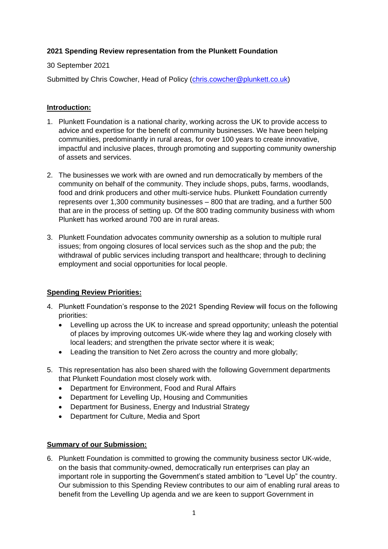# **2021 Spending Review representation from the Plunkett Foundation**

### 30 September 2021

Submitted by Chris Cowcher, Head of Policy [\(chris.cowcher@plunkett.co.uk\)](mailto:chris.cowcher@plunkett.co.uk)

# **Introduction:**

- 1. Plunkett Foundation is a national charity, working across the UK to provide access to advice and expertise for the benefit of community businesses. We have been helping communities, predominantly in rural areas, for over 100 years to create innovative, impactful and inclusive places, through promoting and supporting community ownership of assets and services.
- 2. The businesses we work with are owned and run democratically by members of the community on behalf of the community. They include shops, pubs, farms, woodlands, food and drink producers and other multi-service hubs. Plunkett Foundation currently represents over 1,300 community businesses – 800 that are trading, and a further 500 that are in the process of setting up. Of the 800 trading community business with whom Plunkett has worked around 700 are in rural areas.
- 3. Plunkett Foundation advocates community ownership as a solution to multiple rural issues; from ongoing closures of local services such as the shop and the pub; the withdrawal of public services including transport and healthcare; through to declining employment and social opportunities for local people.

### **Spending Review Priorities:**

- 4. Plunkett Foundation's response to the 2021 Spending Review will focus on the following priorities:
	- Levelling up across the UK to increase and spread opportunity; unleash the potential of places by improving outcomes UK-wide where they lag and working closely with local leaders; and strengthen the private sector where it is weak;
	- Leading the transition to Net Zero across the country and more globally;
- 5. This representation has also been shared with the following Government departments that Plunkett Foundation most closely work with.
	- Department for Environment, Food and Rural Affairs
	- Department for Levelling Up, Housing and Communities
	- Department for Business, Energy and Industrial Strategy
	- Department for Culture, Media and Sport

### **Summary of our Submission:**

6. Plunkett Foundation is committed to growing the community business sector UK-wide, on the basis that community-owned, democratically run enterprises can play an important role in supporting the Government's stated ambition to "Level Up" the country. Our submission to this Spending Review contributes to our aim of enabling rural areas to benefit from the Levelling Up agenda and we are keen to support Government in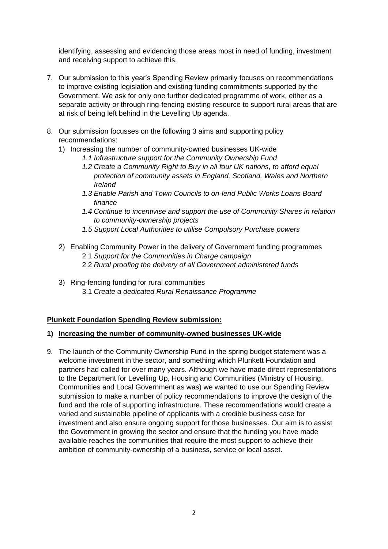identifying, assessing and evidencing those areas most in need of funding, investment and receiving support to achieve this.

- 7. Our submission to this year's Spending Review primarily focuses on recommendations to improve existing legislation and existing funding commitments supported by the Government. We ask for only one further dedicated programme of work, either as a separate activity or through ring-fencing existing resource to support rural areas that are at risk of being left behind in the Levelling Up agenda.
- 8. Our submission focusses on the following 3 aims and supporting policy recommendations:
	- 1) Increasing the number of community-owned businesses UK-wide
		- *1.1 Infrastructure support for the Community Ownership Fund*
		- *1.2 Create a Community Right to Buy in all four UK nations, to afford equal protection of community assets in England, Scotland, Wales and Northern Ireland*
		- *1.3 Enable Parish and Town Councils to on-lend Public Works Loans Board finance*
		- *1.4 Continue to incentivise and support the use of Community Shares in relation to community-ownership projects*
		- *1.5 Support Local Authorities to utilise Compulsory Purchase powers*
	- 2) Enabling Community Power in the delivery of Government funding programmes 2.1 *Support for the Communities in Charge campaign*
		- 2.2 *Rural proofing the delivery of all Government administered funds*
	- 3) Ring-fencing funding for rural communities 3.1 *Create a dedicated Rural Renaissance Programme*

### **Plunkett Foundation Spending Review submission:**

#### **1) Increasing the number of community-owned businesses UK-wide**

9. The launch of the Community Ownership Fund in the spring budget statement was a welcome investment in the sector, and something which Plunkett Foundation and partners had called for over many years. Although we have made direct representations to the Department for Levelling Up, Housing and Communities (Ministry of Housing, Communities and Local Government as was) we wanted to use our Spending Review submission to make a number of policy recommendations to improve the design of the fund and the role of supporting infrastructure. These recommendations would create a varied and sustainable pipeline of applicants with a credible business case for investment and also ensure ongoing support for those businesses. Our aim is to assist the Government in growing the sector and ensure that the funding you have made available reaches the communities that require the most support to achieve their ambition of community-ownership of a business, service or local asset.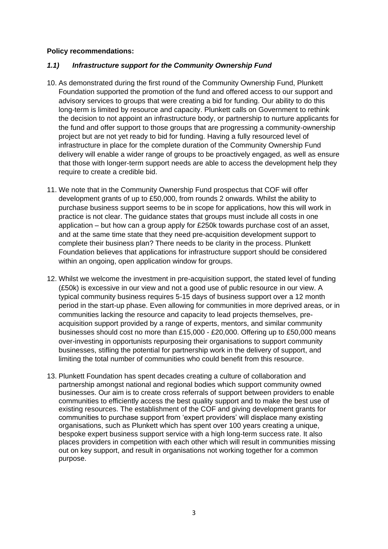#### **Policy recommendations:**

### *1.1) Infrastructure support for the Community Ownership Fund*

- 10. As demonstrated during the first round of the Community Ownership Fund, Plunkett Foundation supported the promotion of the fund and offered access to our support and advisory services to groups that were creating a bid for funding. Our ability to do this long-term is limited by resource and capacity. Plunkett calls on Government to rethink the decision to not appoint an infrastructure body, or partnership to nurture applicants for the fund and offer support to those groups that are progressing a community-ownership project but are not yet ready to bid for funding. Having a fully resourced level of infrastructure in place for the complete duration of the Community Ownership Fund delivery will enable a wider range of groups to be proactively engaged, as well as ensure that those with longer-term support needs are able to access the development help they require to create a credible bid.
- 11. We note that in the Community Ownership Fund prospectus that COF will offer development grants of up to £50,000, from rounds 2 onwards. Whilst the ability to purchase business support seems to be in scope for applications, how this will work in practice is not clear. The guidance states that groups must include all costs in one application – but how can a group apply for £250k towards purchase cost of an asset, and at the same time state that they need pre-acquisition development support to complete their business plan? There needs to be clarity in the process. Plunkett Foundation believes that applications for infrastructure support should be considered within an ongoing, open application window for groups.
- 12. Whilst we welcome the investment in pre-acquisition support, the stated level of funding (£50k) is excessive in our view and not a good use of public resource in our view. A typical community business requires 5-15 days of business support over a 12 month period in the start-up phase. Even allowing for communities in more deprived areas, or in communities lacking the resource and capacity to lead projects themselves, preacquisition support provided by a range of experts, mentors, and similar community businesses should cost no more than £15,000 - £20,000. Offering up to £50,000 means over-investing in opportunists repurposing their organisations to support community businesses, stifling the potential for partnership work in the delivery of support, and limiting the total number of communities who could benefit from this resource.
- 13. Plunkett Foundation has spent decades creating a culture of collaboration and partnership amongst national and regional bodies which support community owned businesses. Our aim is to create cross referrals of support between providers to enable communities to efficiently access the best quality support and to make the best use of existing resources. The establishment of the COF and giving development grants for communities to purchase support from 'expert providers' will displace many existing organisations, such as Plunkett which has spent over 100 years creating a unique, bespoke expert business support service with a high long-term success rate. It also places providers in competition with each other which will result in communities missing out on key support, and result in organisations not working together for a common purpose.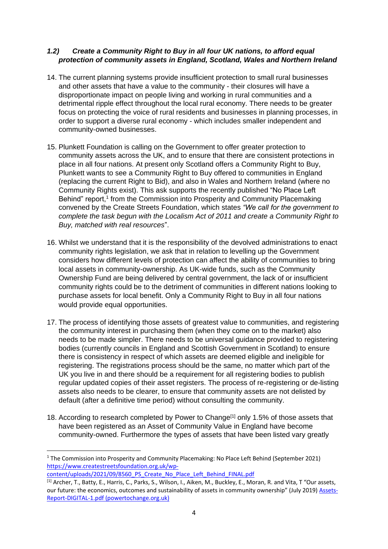# *1.2) Create a Community Right to Buy in all four UK nations, to afford equal protection of community assets in England, Scotland, Wales and Northern Ireland*

- 14. The current planning systems provide insufficient protection to small rural businesses and other assets that have a value to the community - their closures will have a disproportionate impact on people living and working in rural communities and a detrimental ripple effect throughout the local rural economy. There needs to be greater focus on protecting the voice of rural residents and businesses in planning processes, in order to support a diverse rural economy - which includes smaller independent and community-owned businesses.
- 15. Plunkett Foundation is calling on the Government to offer greater protection to community assets across the UK, and to ensure that there are consistent protections in place in all four nations. At present only Scotland offers a Community Right to Buy, Plunkett wants to see a Community Right to Buy offered to communities in England (replacing the current Right to Bid), and also in Wales and Northern Ireland (where no Community Rights exist). This ask supports the recently published "No Place Left Behind" report,<sup>1</sup> from the Commission into Prosperity and Community Placemaking convened by the Create Streets Foundation, which states *"We call for the government to complete the task begun with the Localism Act of 2011 and create a Community Right to Buy, matched with real resources*".
- 16. Whilst we understand that it is the responsibility of the devolved administrations to enact community rights legislation, we ask that in relation to levelling up the Government considers how different levels of protection can affect the ability of communities to bring local assets in community-ownership. As UK-wide funds, such as the Community Ownership Fund are being delivered by central government, the lack of or insufficient community rights could be to the detriment of communities in different nations looking to purchase assets for local benefit. Only a Community Right to Buy in all four nations would provide equal opportunities.
- 17. The process of identifying those assets of greatest value to communities, and registering the community interest in purchasing them (when they come on to the market) also needs to be made simpler. There needs to be universal guidance provided to registering bodies (currently councils in England and Scottish Government in Scotland) to ensure there is consistency in respect of which assets are deemed eligible and ineligible for registering. The registrations process should be the same, no matter which part of the UK you live in and there should be a requirement for all registering bodies to publish regular updated copies of their asset registers. The process of re-registering or de-listing assets also needs to be clearer, to ensure that community assets are not delisted by default (after a definitive time period) without consulting the community.
- 18. According to research completed by Power to Change[1] only 1.5% of those assets that have been registered as an Asset of Community Value in England have become community-owned. Furthermore the types of assets that have been listed vary greatly

[content/uploads/2021/09/8560\\_PS\\_Create\\_No\\_Place\\_Left\\_Behind\\_FINAL.pdf](https://www.createstreetsfoundation.org.uk/wp-content/uploads/2021/09/8560_PS_Create_No_Place_Left_Behind_FINAL.pdf)

1

<sup>&</sup>lt;sup>1</sup> The Commission into Prosperity and Community Placemaking: No Place Left Behind (September 2021) [https://www.createstreetsfoundation.org.uk/wp-](https://www.createstreetsfoundation.org.uk/wp-content/uploads/2021/09/8560_PS_Create_No_Place_Left_Behind_FINAL.pdf)

 $^{[1]}$  Archer, T., Batty, E., Harris, C., Parks, S., Wilson, I., Aiken, M., Buckley, E., Moran, R. and Vita, T "Our assets, our future: the economics, outcomes and sustainability of assets in community ownership" (July 2019) [Assets-](https://www.powertochange.org.uk/wp-content/uploads/2019/07/Assets-Report-DIGITAL-1.pdf)[Report-DIGITAL-1.pdf \(powertochange.org.uk\)](https://www.powertochange.org.uk/wp-content/uploads/2019/07/Assets-Report-DIGITAL-1.pdf)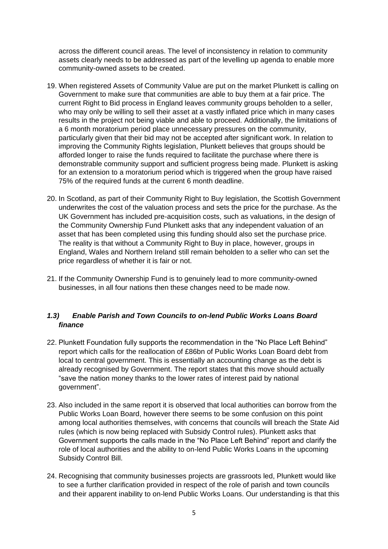across the different council areas. The level of inconsistency in relation to community assets clearly needs to be addressed as part of the levelling up agenda to enable more community-owned assets to be created.

- 19. When registered Assets of Community Value are put on the market Plunkett is calling on Government to make sure that communities are able to buy them at a fair price. The current Right to Bid process in England leaves community groups beholden to a seller, who may only be willing to sell their asset at a vastly inflated price which in many cases results in the project not being viable and able to proceed. Additionally, the limitations of a 6 month moratorium period place unnecessary pressures on the community, particularly given that their bid may not be accepted after significant work. In relation to improving the Community Rights legislation, Plunkett believes that groups should be afforded longer to raise the funds required to facilitate the purchase where there is demonstrable community support and sufficient progress being made. Plunkett is asking for an extension to a moratorium period which is triggered when the group have raised 75% of the required funds at the current 6 month deadline.
- 20. In Scotland, as part of their Community Right to Buy legislation, the Scottish Government underwrites the cost of the valuation process and sets the price for the purchase. As the UK Government has included pre-acquisition costs, such as valuations, in the design of the Community Ownership Fund Plunkett asks that any independent valuation of an asset that has been completed using this funding should also set the purchase price. The reality is that without a Community Right to Buy in place, however, groups in England, Wales and Northern Ireland still remain beholden to a seller who can set the price regardless of whether it is fair or not.
- 21. If the Community Ownership Fund is to genuinely lead to more community-owned businesses, in all four nations then these changes need to be made now.

# *1.3) Enable Parish and Town Councils to on-lend Public Works Loans Board finance*

- 22. Plunkett Foundation fully supports the recommendation in the "No Place Left Behind" report which calls for the reallocation of £86bn of Public Works Loan Board debt from local to central government. This is essentially an accounting change as the debt is already recognised by Government. The report states that this move should actually "save the nation money thanks to the lower rates of interest paid by national government".
- 23. Also included in the same report it is observed that local authorities can borrow from the Public Works Loan Board, however there seems to be some confusion on this point among local authorities themselves, with concerns that councils will breach the State Aid rules (which is now being replaced with Subsidy Control rules). Plunkett asks that Government supports the calls made in the "No Place Left Behind" report and clarify the role of local authorities and the ability to on-lend Public Works Loans in the upcoming Subsidy Control Bill.
- 24. Recognising that community businesses projects are grassroots led, Plunkett would like to see a further clarification provided in respect of the role of parish and town councils and their apparent inability to on-lend Public Works Loans. Our understanding is that this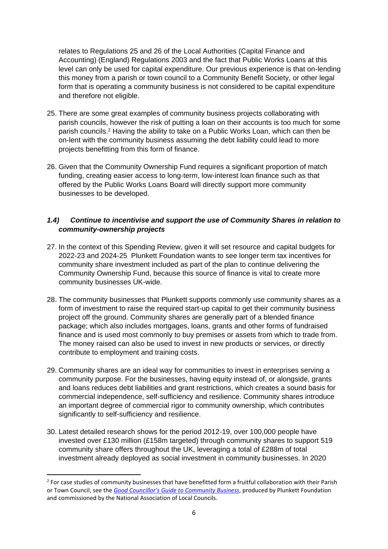relates to Regulations 25 and 26 of the Local Authorities (Capital Finance and Accounting) (England) Regulations 2003 and the fact that Public Works Loans at this level can only be used for capital expenditure. Our previous experience is that on-lending this money from a parish or town council to a Community Benefit Society, or other legal form that is operating a community business is not considered to be capital expenditure and therefore not eligible.

- 25. There are some great examples of community business projects collaborating with parish councils, however the risk of putting a loan on their accounts is too much for some parish councils.<sup>2</sup> Having the ability to take on a Public Works Loan, which can then be on-lent with the community business assuming the debt liability could lead to more projects benefitting from this form of finance.
- 26. Given that the Community Ownership Fund requires a significant proportion of match funding, creating easier access to long-term, low-interest loan finance such as that offered by the Public Works Loans Board will directly support more community businesses to be developed.

# *1.4) Continue to incentivise and support the use of Community Shares in relation to community-ownership projects*

- 27. In the context of this Spending Review, given it will set resource and capital budgets for 2022-23 and 2024-25 Plunkett Foundation wants to see longer term tax incentives for community share investment included as part of the plan to continue delivering the Community Ownership Fund, because this source of finance is vital to create more community businesses UK-wide.
- 28. The community businesses that Plunkett supports commonly use community shares as a form of investment to raise the required start-up capital to get their community business project off the ground. Community shares are generally part of a blended finance package; which also includes mortgages, loans, grants and other forms of fundraised finance and is used most commonly to buy premises or assets from which to trade from. The money raised can also be used to invest in new products or services, or directly contribute to employment and training costs.
- 29. Community shares are an ideal way for communities to invest in enterprises serving a community purpose. For the businesses, having equity instead of, or alongside, grants and loans reduces debt liabilities and grant restrictions, which creates a sound basis for commercial independence, self-sufficiency and resilience. Community shares introduce an important degree of commercial rigor to community ownership, which contributes significantly to self-sufficiency and resilience.
- 30. Latest detailed research shows for the period 2012-19, over 100,000 people have invested over £130 million (£158m targeted) through community shares to support 519 community share offers throughout the UK, leveraging a total of £288m of total investment already deployed as social investment in community businesses. In 2020

<sup>&</sup>lt;sup>2</sup> For case studies of community businesses that have benefitted form a fruitful collaboration with their Parish or Town Council, see the *[Good Councillor's Guide to Community Business](https://plunkett.co.uk/wp-content/uploads/the-good-councillors-guide-to-community-business.pdf)*, produced by Plunkett Foundation and commissioned by the National Association of Local Councils.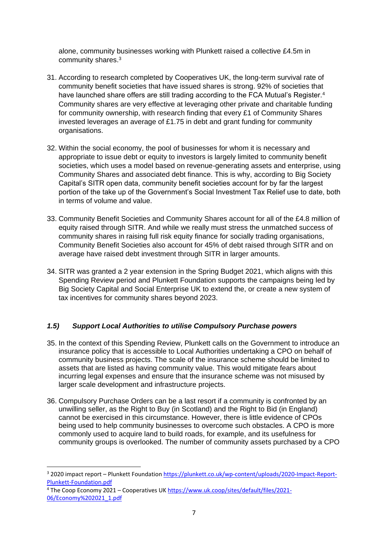alone, community businesses working with Plunkett raised a collective £4.5m in community shares.<sup>3</sup>

- 31. According to research completed by Cooperatives UK, the long-term survival rate of community benefit societies that have issued shares is strong. 92% of societies that have launched share offers are still trading according to the FCA Mutual's Register.<sup>4</sup> Community shares are very effective at leveraging other private and charitable funding for community ownership, with research finding that every £1 of Community Shares invested leverages an average of £1.75 in debt and grant funding for community organisations.
- 32. Within the social economy, the pool of businesses for whom it is necessary and appropriate to issue debt or equity to investors is largely limited to community benefit societies, which uses a model based on revenue-generating assets and enterprise, using Community Shares and associated debt finance. This is why, according to Big Society Capital's SITR open data, community benefit societies account for by far the largest portion of the take up of the Government's Social Investment Tax Relief use to date, both in terms of volume and value.
- 33. Community Benefit Societies and Community Shares account for all of the £4.8 million of equity raised through SITR. And while we really must stress the unmatched success of community shares in raising full risk equity finance for socially trading organisations, Community Benefit Societies also account for 45% of debt raised through SITR and on average have raised debt investment through SITR in larger amounts.
- 34. SITR was granted a 2 year extension in the Spring Budget 2021, which aligns with this Spending Review period and Plunkett Foundation supports the campaigns being led by Big Society Capital and Social Enterprise UK to extend the, or create a new system of tax incentives for community shares beyond 2023.

# *1.5) Support Local Authorities to utilise Compulsory Purchase powers*

- 35. In the context of this Spending Review, Plunkett calls on the Government to introduce an insurance policy that is accessible to Local Authorities undertaking a CPO on behalf of community business projects. The scale of the insurance scheme should be limited to assets that are listed as having community value. This would mitigate fears about incurring legal expenses and ensure that the insurance scheme was not misused by larger scale development and infrastructure projects.
- 36. Compulsory Purchase Orders can be a last resort if a community is confronted by an unwilling seller, as the Right to Buy (in Scotland) and the Right to Bid (in England) cannot be exercised in this circumstance. However, there is little evidence of CPOs being used to help community businesses to overcome such obstacles. A CPO is more commonly used to acquire land to build roads, for example, and its usefulness for community groups is overlooked. The number of community assets purchased by a CPO

1

<sup>&</sup>lt;sup>3</sup> 2020 impact report – Plunkett Foundation [https://plunkett.co.uk/wp-content/uploads/2020-Impact-Report-](https://plunkett.co.uk/wp-content/uploads/2020-Impact-Report-Plunkett-Foundation.pdf)[Plunkett-Foundation.pdf](https://plunkett.co.uk/wp-content/uploads/2020-Impact-Report-Plunkett-Foundation.pdf)

<sup>&</sup>lt;sup>4</sup> The Coop Economy 2021 – Cooperatives U[K https://www.uk.coop/sites/default/files/2021-](https://www.uk.coop/sites/default/files/2021-06/Economy%202021_1.pdf) [06/Economy%202021\\_1.pdf](https://www.uk.coop/sites/default/files/2021-06/Economy%202021_1.pdf)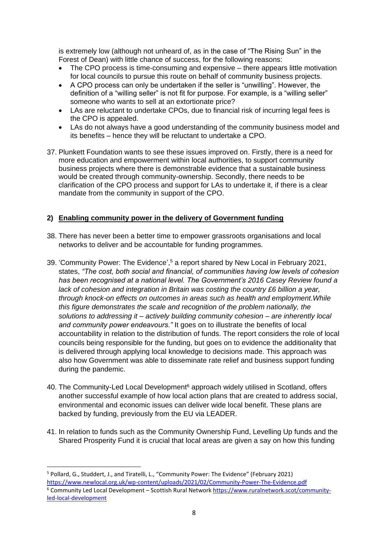is extremely low (although not unheard of, as in the case of "The Rising Sun" in the Forest of Dean) with little chance of success, for the following reasons:

- The CPO process is time-consuming and expensive there appears little motivation for local councils to pursue this route on behalf of community business projects.
- A CPO process can only be undertaken if the seller is "unwilling". However, the definition of a "willing seller" is not fit for purpose. For example, is a "willing seller" someone who wants to sell at an extortionate price?
- LAs are reluctant to undertake CPOs, due to financial risk of incurring legal fees is the CPO is appealed.
- LAs do not always have a good understanding of the community business model and its benefits – hence they will be reluctant to undertake a CPO.
- 37. Plunkett Foundation wants to see these issues improved on. Firstly, there is a need for more education and empowerment within local authorities, to support community business projects where there is demonstrable evidence that a sustainable business would be created through community-ownership. Secondly, there needs to be clarification of the CPO process and support for LAs to undertake it, if there is a clear mandate from the community in support of the CPO.

### **2) Enabling community power in the delivery of Government funding**

- 38. There has never been a better time to empower grassroots organisations and local networks to deliver and be accountable for funding programmes.
- 39. 'Community Power: The Evidence', <sup>5</sup> a report shared by New Local in February 2021, states, *"The cost, both social and financial, of communities having low levels of cohesion has been recognised at a national level. The Government's 2016 Casey Review found a lack of cohesion and integration in Britain was costing the country £6 billion a year, through knock-on effects on outcomes in areas such as health and employment.While this figure demonstrates the scale and recognition of the problem nationally, the solutions to addressing it – actively building community cohesion – are inherently local and community power endeavours."* It goes on to illustrate the benefits of local accountability in relation to the distribution of funds. The report considers the role of local councils being responsible for the funding, but goes on to evidence the additionality that is delivered through applying local knowledge to decisions made. This approach was also how Government was able to disseminate rate relief and business support funding during the pandemic.
- 40. The Community-Led Local Development<sup>6</sup> approach widely utilised in Scotland, offers another successful example of how local action plans that are created to address social, environmental and economic issues can deliver wide local benefit. These plans are backed by funding, previously from the EU via LEADER.
- 41. In relation to funds such as the Community Ownership Fund, Levelling Up funds and the Shared Prosperity Fund it is crucial that local areas are given a say on how this funding

1

<sup>&</sup>lt;sup>5</sup> Pollard, G., Studdert, J., and Tiratelli, L., "Community Power: The Evidence" (February 2021) <https://www.newlocal.org.uk/wp-content/uploads/2021/02/Community-Power-The-Evidence.pdf> <sup>6</sup> Community Led Local Development – Scottish Rural Network [https://www.ruralnetwork.scot/community](https://www.ruralnetwork.scot/community-led-local-development)[led-local-development](https://www.ruralnetwork.scot/community-led-local-development)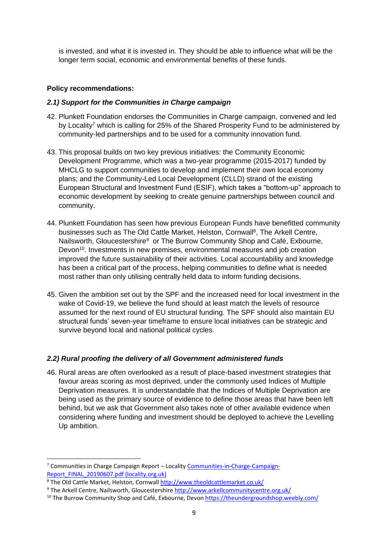is invested, and what it is invested in. They should be able to influence what will be the longer term social, economic and environmental benefits of these funds.

#### **Policy recommendations:**

#### *2.1) Support for the Communities in Charge campaign*

- 42. Plunkett Foundation endorses the Communities in Charge campaign, convened and led by Locality<sup>7</sup> which is calling for 25% of the Shared Prosperity Fund to be administered by community-led partnerships and to be used for a community innovation fund.
- 43. This proposal builds on two key previous initiatives: the Community Economic Development Programme, which was a two-year programme (2015-2017) funded by MHCLG to support communities to develop and implement their own local economy plans; and the Community-Led Local Development (CLLD) strand of the existing European Structural and Investment Fund (ESIF), which takes a "bottom-up" approach to economic development by seeking to create genuine partnerships between council and community.
- 44. Plunkett Foundation has seen how previous European Funds have benefitted community businesses such as The Old Cattle Market, Helston, Cornwall<sup>8</sup>, The Arkell Centre, Nailsworth, Gloucestershire<sup>9</sup> or The Burrow Community Shop and Café, Exbourne, Devon<sup>10</sup>. Investments in new premises, environmental measures and job creation improved the future sustainability of their activities. Local accountability and knowledge has been a critical part of the process, helping communities to define what is needed most rather than only utilising centrally held data to inform funding decisions.
- 45. Given the ambition set out by the SPF and the increased need for local investment in the wake of Covid-19, we believe the fund should at least match the levels of resource assumed for the next round of EU structural funding. The SPF should also maintain EU structural funds' seven-year timeframe to ensure local initiatives can be strategic and survive beyond local and national political cycles.

### *2.2) Rural proofing the delivery of all Government administered funds*

46. Rural areas are often overlooked as a result of place-based investment strategies that favour areas scoring as most deprived, under the commonly used Indices of Multiple Deprivation measures. It is understandable that the Indices of Multiple Deprivation are being used as the primary source of evidence to define those areas that have been left behind, but we ask that Government also takes note of other available evidence when considering where funding and investment should be deployed to achieve the Levelling Up ambition.

<sup>7</sup> Communities in Charge Campaign Report – Locality [Communities-in-Charge-Campaign-](https://locality.org.uk/wp-content/uploads/2019/06/Communities-in-Charge-Campaign-Report_FINAL_20190607.pdf)[Report\\_FINAL\\_20190607.pdf \(locality.org.uk\)](https://locality.org.uk/wp-content/uploads/2019/06/Communities-in-Charge-Campaign-Report_FINAL_20190607.pdf)

<sup>8</sup> The Old Cattle Market, Helston, Cornwal[l http://www.theoldcattlemarket.co.uk/](http://www.theoldcattlemarket.co.uk/)

<sup>9</sup> The Arkell Centre, Nailsworth, Gloucestershire<http://www.arkellcommunitycentre.org.uk/>

 $10$  The Burrow Community Shop and Café, Exbourne, Devon<https://theundergroundshop.weebly.com/>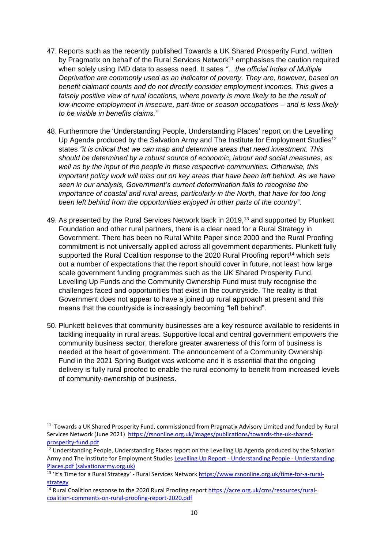- 47. Reports such as the recently published Towards a UK Shared Prosperity Fund, written by Pragmatix on behalf of the Rural Services Network<sup>11</sup> emphasises the caution required when solely using IMD data to assess need. It sates *"…the official Index of Multiple Deprivation are commonly used as an indicator of poverty. They are, however, based on benefit claimant counts and do not directly consider employment incomes. This gives a*  falsely positive view of rural locations, where poverty is more likely to be the result of *low-income employment in insecure, part-time or season occupations – and is less likely to be visible in benefits claims."*
- 48. Furthermore the 'Understanding People, Understanding Places' report on the Levelling Up Agenda produced by the Salvation Army and The Institute for Employment Studies<sup>12</sup> states *"it is critical that we can map and determine areas that need investment. This should be determined by a robust source of economic, labour and social measures, as well as by the input of the people in these respective communities. Otherwise, this important policy work will miss out on key areas that have been left behind. As we have seen in our analysis, Government's current determination fails to recognise the importance of coastal and rural areas, particularly in the North, that have for too long been left behind from the opportunities enjoyed in other parts of the country*".
- 49. As presented by the Rural Services Network back in 2019,<sup>13</sup> and supported by Plunkett Foundation and other rural partners, there is a clear need for a Rural Strategy in Government. There has been no Rural White Paper since 2000 and the Rural Proofing commitment is not universally applied across all government departments. Plunkett fully supported the Rural Coalition response to the 2020 Rural Proofing report<sup>14</sup> which sets out a number of expectations that the report should cover in future, not least how large scale government funding programmes such as the UK Shared Prosperity Fund, Levelling Up Funds and the Community Ownership Fund must truly recognise the challenges faced and opportunities that exist in the countryside. The reality is that Government does not appear to have a joined up rural approach at present and this means that the countryside is increasingly becoming "left behind".
- 50. Plunkett believes that community businesses are a key resource available to residents in tackling inequality in rural areas. Supportive local and central government empowers the community business sector, therefore greater awareness of this form of business is needed at the heart of government. The announcement of a Community Ownership Fund in the 2021 Spring Budget was welcome and it is essential that the ongoing delivery is fully rural proofed to enable the rural economy to benefit from increased levels of community-ownership of business.

<sup>&</sup>lt;sup>11</sup> Towards a UK Shared Prosperity Fund, commissioned from Pragmatix Advisory Limited and funded by Rural Services Network (June 2021) [https://rsnonline.org.uk/images/publications/towards-the-uk-shared](https://rsnonline.org.uk/images/publications/towards-the-uk-shared-prosperity-fund.pdf)[prosperity-fund.pdf](https://rsnonline.org.uk/images/publications/towards-the-uk-shared-prosperity-fund.pdf)

<sup>&</sup>lt;sup>12</sup> Understanding People, Understanding Places report on the Levelling Up Agenda produced by the Salvation Army and The Institute for Employment Studies Levelling Up Report - [Understanding People -](https://www.salvationarmy.org.uk/sites/default/files/resources/2021-08/Levelling%20Up%20Report%20-%20Understanding%20People%20-%20Understanding%20Places.pdf) Understanding [Places.pdf \(salvationarmy.org.uk\)](https://www.salvationarmy.org.uk/sites/default/files/resources/2021-08/Levelling%20Up%20Report%20-%20Understanding%20People%20-%20Understanding%20Places.pdf)

<sup>&</sup>lt;sup>13</sup> 'It's Time for a Rural Strategy' - Rural Services Network [https://www.rsnonline.org.uk/time-for-a-rural](https://www.rsnonline.org.uk/time-for-a-rural-strategy)[strategy](https://www.rsnonline.org.uk/time-for-a-rural-strategy)

<sup>&</sup>lt;sup>14</sup> Rural Coalition response to the 2020 Rural Proofing repor[t https://acre.org.uk/cms/resources/rural](https://acre.org.uk/cms/resources/rural-coalition-comments-on-rural-proofing-report-2020.pdf)[coalition-comments-on-rural-proofing-report-2020.pdf](https://acre.org.uk/cms/resources/rural-coalition-comments-on-rural-proofing-report-2020.pdf)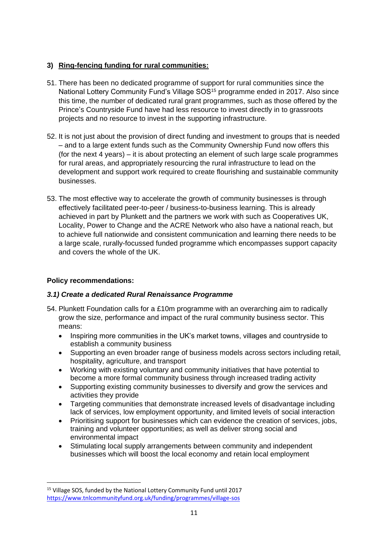# **3) Ring-fencing funding for rural communities:**

- 51. There has been no dedicated programme of support for rural communities since the National Lottery Community Fund's Village SOS<sup>15</sup> programme ended in 2017. Also since this time, the number of dedicated rural grant programmes, such as those offered by the Prince's Countryside Fund have had less resource to invest directly in to grassroots projects and no resource to invest in the supporting infrastructure.
- 52. It is not just about the provision of direct funding and investment to groups that is needed – and to a large extent funds such as the Community Ownership Fund now offers this (for the next 4 years) – it is about protecting an element of such large scale programmes for rural areas, and appropriately resourcing the rural infrastructure to lead on the development and support work required to create flourishing and sustainable community businesses.
- 53. The most effective way to accelerate the growth of community businesses is through effectively facilitated peer-to-peer / business-to-business learning. This is already achieved in part by Plunkett and the partners we work with such as Cooperatives UK, Locality, Power to Change and the ACRE Network who also have a national reach, but to achieve full nationwide and consistent communication and learning there needs to be a large scale, rurally-focussed funded programme which encompasses support capacity and covers the whole of the UK.

# **Policy recommendations:**

# *3.1) Create a dedicated Rural Renaissance Programme*

- 54. Plunkett Foundation calls for a £10m programme with an overarching aim to radically grow the size, performance and impact of the rural community business sector. This means:
	- Inspiring more communities in the UK's market towns, villages and countryside to establish a community business
	- Supporting an even broader range of business models across sectors including retail, hospitality, agriculture, and transport
	- Working with existing voluntary and community initiatives that have potential to become a more formal community business through increased trading activity
	- Supporting existing community businesses to diversify and grow the services and activities they provide
	- Targeting communities that demonstrate increased levels of disadvantage including lack of services, low employment opportunity, and limited levels of social interaction
	- Prioritising support for businesses which can evidence the creation of services, jobs, training and volunteer opportunities; as well as deliver strong social and environmental impact
	- Stimulating local supply arrangements between community and independent businesses which will boost the local economy and retain local employment

 $\overline{a}$ <sup>15</sup> Village SOS, funded by the National Lottery Community Fund until 2017 <https://www.tnlcommunityfund.org.uk/funding/programmes/village-sos>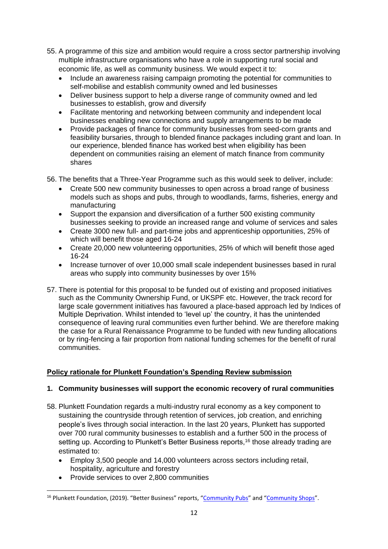- 55. A programme of this size and ambition would require a cross sector partnership involving multiple infrastructure organisations who have a role in supporting rural social and economic life, as well as community business. We would expect it to:
	- Include an awareness raising campaign promoting the potential for communities to self-mobilise and establish community owned and led businesses
	- Deliver business support to help a diverse range of community owned and led businesses to establish, grow and diversify
	- Facilitate mentoring and networking between community and independent local businesses enabling new connections and supply arrangements to be made
	- Provide packages of finance for community businesses from seed-corn grants and feasibility bursaries, through to blended finance packages including grant and loan. In our experience, blended finance has worked best when eligibility has been dependent on communities raising an element of match finance from community shares
- 56. The benefits that a Three-Year Programme such as this would seek to deliver, include:
	- Create 500 new community businesses to open across a broad range of business models such as shops and pubs, through to woodlands, farms, fisheries, energy and manufacturing
	- Support the expansion and diversification of a further 500 existing community businesses seeking to provide an increased range and volume of services and sales
	- Create 3000 new full- and part-time jobs and apprenticeship opportunities, 25% of which will benefit those aged 16-24
	- Create 20,000 new volunteering opportunities, 25% of which will benefit those aged 16-24
	- Increase turnover of over 10,000 small scale independent businesses based in rural areas who supply into community businesses by over 15%
- 57. There is potential for this proposal to be funded out of existing and proposed initiatives such as the Community Ownership Fund, or UKSPF etc. However, the track record for large scale government initiatives has favoured a place-based approach led by Indices of Multiple Deprivation. Whilst intended to 'level up' the country, it has the unintended consequence of leaving rural communities even further behind. We are therefore making the case for a Rural Renaissance Programme to be funded with new funding allocations or by ring-fencing a fair proportion from national funding schemes for the benefit of rural communities.

# **Policy rationale for Plunkett Foundation's Spending Review submission**

### **1. Community businesses will support the economic recovery of rural communities**

- 58. Plunkett Foundation regards a multi-industry rural economy as a key component to sustaining the countryside through retention of services, job creation, and enriching people's lives through social interaction. In the last 20 years, Plunkett has supported over 700 rural community businesses to establish and a further 500 in the process of setting up. According to Plunkett's Better Business reports,<sup>16</sup> those already trading are estimated to:
	- Employ 3,500 people and 14,000 volunteers across sectors including retail, hospitality, agriculture and forestry
	- Provide services to over 2,800 communities

<sup>&</sup>lt;sup>16</sup> Plunkett Foundation, (2019). "Better Business" reports, "[Community Pubs](https://plunkett.co.uk/wp-content/uploads/PLUNKETT_BB_PUBS19_download2.pdf)" and "[Community Shops](https://plunkett.co.uk/wp-content/uploads/PF_BB_SHOPS19_web-version-1.pdf)".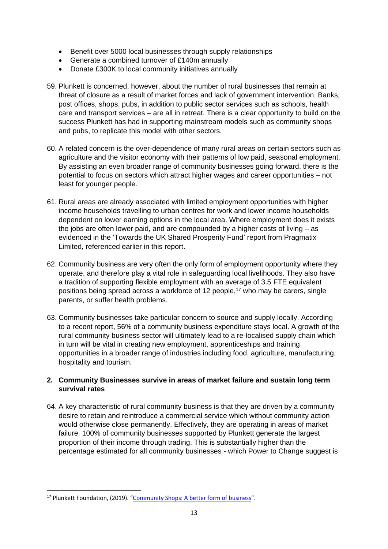- Benefit over 5000 local businesses through supply relationships
- Generate a combined turnover of £140m annually
- Donate £300K to local community initiatives annually
- 59. Plunkett is concerned, however, about the number of rural businesses that remain at threat of closure as a result of market forces and lack of government intervention. Banks, post offices, shops, pubs, in addition to public sector services such as schools, health care and transport services – are all in retreat. There is a clear opportunity to build on the success Plunkett has had in supporting mainstream models such as community shops and pubs, to replicate this model with other sectors.
- 60. A related concern is the over-dependence of many rural areas on certain sectors such as agriculture and the visitor economy with their patterns of low paid, seasonal employment. By assisting an even broader range of community businesses going forward, there is the potential to focus on sectors which attract higher wages and career opportunities – not least for younger people.
- 61. Rural areas are already associated with limited employment opportunities with higher income households travelling to urban centres for work and lower income households dependent on lower earning options in the local area. Where employment does it exists the jobs are often lower paid, and are compounded by a higher costs of living – as evidenced in the 'Towards the UK Shared Prosperity Fund' report from Pragmatix Limited, referenced earlier in this report.
- 62. Community business are very often the only form of employment opportunity where they operate, and therefore play a vital role in safeguarding local livelihoods. They also have a tradition of supporting flexible employment with an average of 3.5 FTE equivalent positions being spread across a workforce of 12 people,<sup>17</sup> who may be carers, single parents, or suffer health problems.
- 63. Community businesses take particular concern to source and supply locally. According to a recent report, 56% of a community business expenditure stays local. A growth of the rural community business sector will ultimately lead to a re-localised supply chain which in turn will be vital in creating new employment, apprenticeships and training opportunities in a broader range of industries including food, agriculture, manufacturing, hospitality and tourism.

# **2. Community Businesses survive in areas of market failure and sustain long term survival rates**

64. A key characteristic of rural community business is that they are driven by a community desire to retain and reintroduce a commercial service which without community action would otherwise close permanently. Effectively, they are operating in areas of market failure. 100% of community businesses supported by Plunkett generate the largest proportion of their income through trading. This is substantially higher than the percentage estimated for all community businesses - which Power to Change suggest is

<sup>&</sup>lt;sup>17</sup> Plunkett Foundation, (2019). "[Community Shops: A better form of business](https://plunkett.co.uk/wp-content/uploads/PF_BB_SHOPS19_web-version-1.pdf)".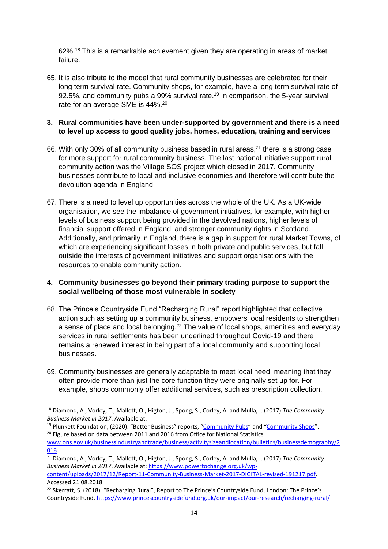62%.<sup>18</sup> This is a remarkable achievement given they are operating in areas of market failure.

65. It is also tribute to the model that rural community businesses are celebrated for their long term survival rate. Community shops, for example, have a long term survival rate of 92.5%, and community pubs a 99% survival rate.<sup>19</sup> In comparison, the 5-year survival rate for an average SME is 44%.<sup>20</sup>

# **3. Rural communities have been under-supported by government and there is a need to level up access to good quality jobs, homes, education, training and services**

- 66. With only 30% of all community business based in rural areas,<sup>21</sup> there is a strong case for more support for rural community business. The last national initiative support rural community action was the Village SOS project which closed in 2017. Community businesses contribute to local and inclusive economies and therefore will contribute the devolution agenda in England.
- 67. There is a need to level up opportunities across the whole of the UK. As a UK-wide organisation, we see the imbalance of government initiatives, for example, with higher levels of business support being provided in the devolved nations, higher levels of financial support offered in England, and stronger community rights in Scotland. Additionally, and primarily in England, there is a gap in support for rural Market Towns, of which are experiencing significant losses in both private and public services, but fall outside the interests of government initiatives and support organisations with the resources to enable community action.

### **4. Community businesses go beyond their primary trading purpose to support the social wellbeing of those most vulnerable in society**

- 68. The Prince's Countryside Fund "Recharging Rural" report highlighted that collective action such as setting up a community business, empowers local residents to strengthen a sense of place and local belonging.<sup>22</sup> The value of local shops, amenities and everyday services in rural settlements has been underlined throughout Covid-19 and there remains a renewed interest in being part of a local community and supporting local businesses.
- 69. Community businesses are generally adaptable to meet local need, meaning that they often provide more than just the core function they were originally set up for. For example, shops commonly offer additional services, such as prescription collection,

**.** 

<sup>19</sup> Plunkett Foundation, (2020). "Better Business" reports, "[Community Pubs](https://plunkett.co.uk/wp-content/uploads/Plunkett_BB-2020_Pubs.pdf)" and "[Community Shops](https://plunkett.co.uk/wp-content/uploads/Plunkett_BB-2020_Shops.pdf)". <sup>20</sup> Figure based on data between 2011 and 2016 from Office for National Statistics [www.ons.gov.uk/businessindustryandtrade/business/activitysizeandlocation/bulletins/businessdemography/2](http://www.ons.gov.uk/businessindustryandtrade/business/activitysizeandlocation/bulletins/businessdemography/2016) [016](http://www.ons.gov.uk/businessindustryandtrade/business/activitysizeandlocation/bulletins/businessdemography/2016)

<sup>21</sup> Diamond, A., Vorley, T., Mallett, O., Higton, J., Spong, S., Corley, A. and Mulla, I. (2017) *The Community Business Market in 2017*. Available at: [https://www.powertochange.org.uk/wp](https://www.powertochange.org.uk/wp-content/uploads/2017/12/Report-11-Community-Business-Market-2017-DIGITAL-revised-191217.pdf)[content/uploads/2017/12/Report-11-Community-Business-Market-2017-DIGITAL-revised-191217.pdf.](https://www.powertochange.org.uk/wp-content/uploads/2017/12/Report-11-Community-Business-Market-2017-DIGITAL-revised-191217.pdf) Accessed 21.08.2018.

<sup>18</sup> Diamond, A., Vorley, T., Mallett, O., Higton, J., Spong, S., Corley, A. and Mulla, I. (2017) *The Community Business Market in 2017*. Available at:

<sup>&</sup>lt;sup>22</sup> Skerratt, S. (2018). "Recharging Rural", Report to The Prince's Countryside Fund, London: The Prince's Countryside Fund. <https://www.princescountrysidefund.org.uk/our-impact/our-research/recharging-rural/>